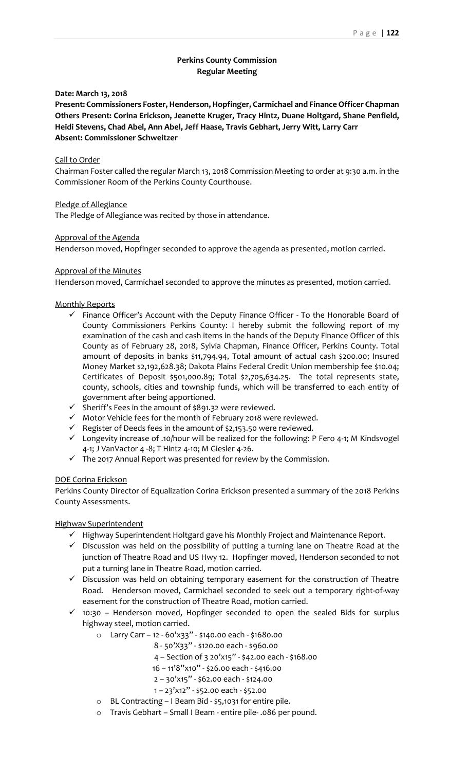# **Perkins County Commission Regular Meeting**

### **Date: March 13, 2018**

**Present: Commissioners Foster, Henderson, Hopfinger, Carmichael and Finance Officer Chapman Others Present: Corina Erickson, Jeanette Kruger, Tracy Hintz, Duane Holtgard, Shane Penfield, Heidi Stevens, Chad Abel, Ann Abel, Jeff Haase, Travis Gebhart, Jerry Witt, Larry Carr Absent: Commissioner Schweitzer**

### Call to Order

Chairman Foster called the regular March 13, 2018 Commission Meeting to order at 9:30 a.m. in the Commissioner Room of the Perkins County Courthouse.

## Pledge of Allegiance

The Pledge of Allegiance was recited by those in attendance.

## Approval of the Agenda

Henderson moved, Hopfinger seconded to approve the agenda as presented, motion carried.

# Approval of the Minutes

Henderson moved, Carmichael seconded to approve the minutes as presented, motion carried.

# Monthly Reports

- $\checkmark$  Finance Officer's Account with the Deputy Finance Officer To the Honorable Board of County Commissioners Perkins County: I hereby submit the following report of my examination of the cash and cash items in the hands of the Deputy Finance Officer of this County as of February 28, 2018, Sylvia Chapman, Finance Officer, Perkins County. Total amount of deposits in banks \$11,794.94, Total amount of actual cash \$200.00; Insured Money Market \$2,192,628.38; Dakota Plains Federal Credit Union membership fee \$10.04; Certificates of Deposit \$501,000.89; Total \$2,705,634.25. The total represents state, county, schools, cities and township funds, which will be transferred to each entity of government after being apportioned.
- ✓ Sheriff's Fees in the amount of \$891.32 were reviewed.
- ✓ Motor Vehicle fees for the month of February 2018 were reviewed.
- ✓ Register of Deeds fees in the amount of \$2,153.50 were reviewed.
- $\checkmark$  Longevity increase of .10/hour will be realized for the following: P Fero 4-1; M Kindsvogel 4-1; J VanVactor 4 -8; T Hintz 4-10; M Giesler 4-26.
- ✓ The 2017 Annual Report was presented for review by the Commission.

## DOE Corina Erickson

Perkins County Director of Equalization Corina Erickson presented a summary of the 2018 Perkins County Assessments.

## Highway Superintendent

- ✓ Highway Superintendent Holtgard gave his Monthly Project and Maintenance Report.
- $\checkmark$  Discussion was held on the possibility of putting a turning lane on Theatre Road at the junction of Theatre Road and US Hwy 12. Hopfinger moved, Henderson seconded to not put a turning lane in Theatre Road, motion carried.
- $\checkmark$  Discussion was held on obtaining temporary easement for the construction of Theatre Road. Henderson moved, Carmichael seconded to seek out a temporary right-of-way easement for the construction of Theatre Road, motion carried.
- $\checkmark$  10:30 Henderson moved, Hopfinger seconded to open the sealed Bids for surplus highway steel, motion carried.
	- o Larry Carr 12 60'x33" \$140.00 each \$1680.00
		- 8 50'X33" \$120.00 each \$960.00
		- 4 Section of 3 20'x15" \$42.00 each \$168.00
		- 16 11'8"x10" \$26.00 each \$416.00
		- 2 30'x15" \$62.00 each \$124.00
		- 1 23'x12" \$52.00 each \$52.00
	- o BL Contracting I Beam Bid \$5,1031 for entire pile.
	- o Travis Gebhart Small I Beam entire pile- .086 per pound.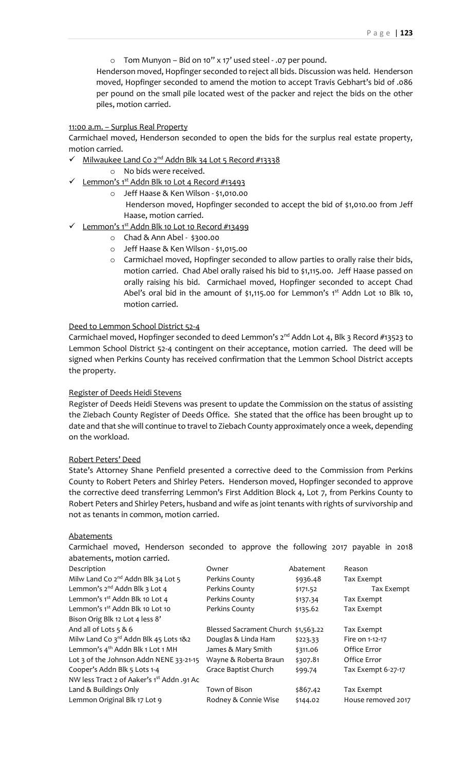o Tom Munyon – Bid on 10" x 17' used steel - .07 per pound.

Henderson moved, Hopfinger seconded to reject all bids. Discussion was held. Henderson moved, Hopfinger seconded to amend the motion to accept Travis Gebhart's bid of .086 per pound on the small pile located west of the packer and reject the bids on the other piles, motion carried.

### 11:00 a.m. – Surplus Real Property

Carmichael moved, Henderson seconded to open the bids for the surplus real estate property, motion carried.

- ✓ Milwaukee Land Co 2nd Addn Blk 34 Lot 5 Record #13338
	- o No bids were received.
- ✓ Lemmon's 1st Addn Blk 10 Lot 4 Record #13493
	- o Jeff Haase & Ken Wilson \$1,010.00 Henderson moved, Hopfinger seconded to accept the bid of \$1,010.00 from Jeff Haase, motion carried.
- ✓ Lemmon's 1st Addn Blk 10 Lot 10 Record #13499
	- o Chad & Ann Abel \$300.00
	- o Jeff Haase & Ken Wilson \$1,015.00
	- o Carmichael moved, Hopfinger seconded to allow parties to orally raise their bids, motion carried. Chad Abel orally raised his bid to \$1,115.00. Jeff Haase passed on orally raising his bid. Carmichael moved, Hopfinger seconded to accept Chad Abel's oral bid in the amount of \$1,115.00 for Lemmon's  $1<sup>st</sup>$  Addn Lot 10 Blk 10, motion carried.

### Deed to Lemmon School District 52-4

Carmichael moved, Hopfinger seconded to deed Lemmon's  $2^{nd}$  Addn Lot 4, Blk 3 Record #13523 to Lemmon School District 52-4 contingent on their acceptance, motion carried. The deed will be signed when Perkins County has received confirmation that the Lemmon School District accepts the property.

#### Register of Deeds Heidi Stevens

Register of Deeds Heidi Stevens was present to update the Commission on the status of assisting the Ziebach County Register of Deeds Office. She stated that the office has been brought up to date and that she will continue to travel to Ziebach County approximately once a week, depending on the workload.

#### Robert Peters' Deed

State's Attorney Shane Penfield presented a corrective deed to the Commission from Perkins County to Robert Peters and Shirley Peters. Henderson moved, Hopfinger seconded to approve the corrective deed transferring Lemmon's First Addition Block 4, Lot 7, from Perkins County to Robert Peters and Shirley Peters, husband and wife as joint tenants with rights of survivorship and not as tenants in common, motion carried.

#### Abatements

Carmichael moved, Henderson seconded to approve the following 2017 payable in 2018 abatements, motion carried.

| Description                                       | Owner                               | Abatement | Reason             |
|---------------------------------------------------|-------------------------------------|-----------|--------------------|
| Milw Land Co 2 <sup>nd</sup> Addn Blk 34 Lot 5    | Perkins County                      | \$936.48  | Tax Exempt         |
| Lemmon's 2 <sup>nd</sup> Addn Blk 3 Lot 4         | Perkins County                      | \$171.52  | Tax Exempt         |
| Lemmon's 1 <sup>st</sup> Addn Blk 10 Lot 4        | Perkins County                      | \$137.34  | Tax Exempt         |
| Lemmon's 1 <sup>st</sup> Addn Blk 10 Lot 10       | Perkins County                      | \$135.62  | Tax Exempt         |
| Bison Orig Blk 12 Lot 4 less 8'                   |                                     |           |                    |
| And all of Lots 5 & 6                             | Blessed Sacrament Church \$1,563.22 |           | Tax Exempt         |
| Milw Land Co 3 <sup>rd</sup> Addn Blk 45 Lots 1&2 | Douglas & Linda Ham                 | \$223.33  | Fire on 1-12-17    |
| Lemmon's 4 <sup>th</sup> Addn Blk 1 Lot 1 MH      | James & Mary Smith                  | \$311.06  | Office Error       |
| Lot 3 of the Johnson Addn NENE 33-21-15           | Wayne & Roberta Braun               | \$307.81  | Office Error       |
| Cooper's Addn Blk 5 Lots 1-4                      | Grace Baptist Church                | \$99.74   | Tax Exempt 6-27-17 |
| NW less Tract 2 of Aaker's 1st Addn .91 Ac        |                                     |           |                    |
| Land & Buildings Only                             | Town of Bison                       | \$867.42  | Tax Exempt         |
| Lemmon Original Blk 17 Lot 9                      | Rodney & Connie Wise                | \$144.02  | House removed 2017 |